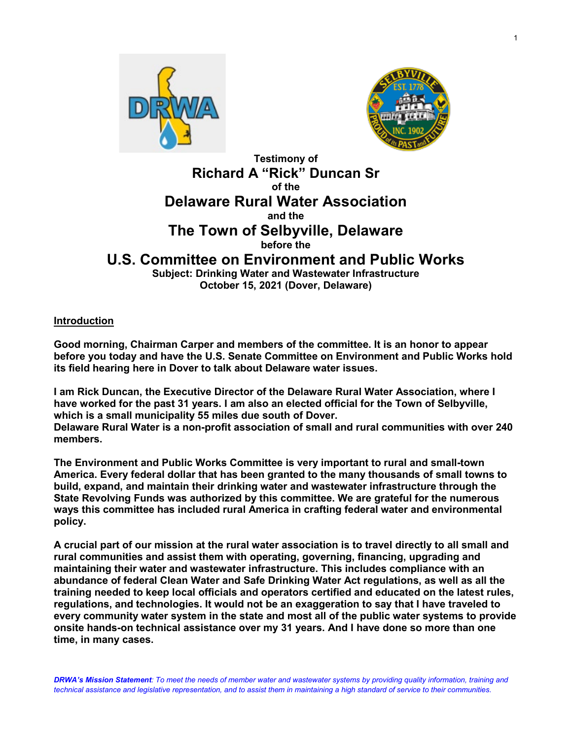



 **Testimony of Richard A "Rick" Duncan Sr of the Delaware Rural Water Association and the**

## **The Town of Selbyville, Delaware before the**

# **U.S. Committee on Environment and Public Works**

**Subject: Drinking Water and Wastewater Infrastructure October 15, 2021 (Dover, Delaware)**

### **Introduction**

**Good morning, Chairman Carper and members of the committee. It is an honor to appear before you today and have the U.S. Senate Committee on Environment and Public Works hold its field hearing here in Dover to talk about Delaware water issues.**

**I am Rick Duncan, the Executive Director of the Delaware Rural Water Association, where I have worked for the past 31 years. I am also an elected official for the Town of Selbyville, which is a small municipality 55 miles due south of Dover.**

**Delaware Rural Water is a non-profit association of small and rural communities with over 240 members.** 

**The Environment and Public Works Committee is very important to rural and small-town America. Every federal dollar that has been granted to the many thousands of small towns to build, expand, and maintain their drinking water and wastewater infrastructure through the State Revolving Funds was authorized by this committee. We are grateful for the numerous ways this committee has included rural America in crafting federal water and environmental policy.**

**A crucial part of our mission at the rural water association is to travel directly to all small and rural communities and assist them with operating, governing, financing, upgrading and maintaining their water and wastewater infrastructure. This includes compliance with an abundance of federal Clean Water and Safe Drinking Water Act regulations, as well as all the training needed to keep local officials and operators certified and educated on the latest rules, regulations, and technologies. It would not be an exaggeration to say that I have traveled to every community water system in the state and most all of the public water systems to provide onsite hands-on technical assistance over my 31 years. And I have done so more than one time, in many cases.** 

*DRWA's Mission Statement: To meet the needs of member water and wastewater systems by providing quality information, training and technical assistance and legislative representation, and to assist them in maintaining a high standard of service to their communities.*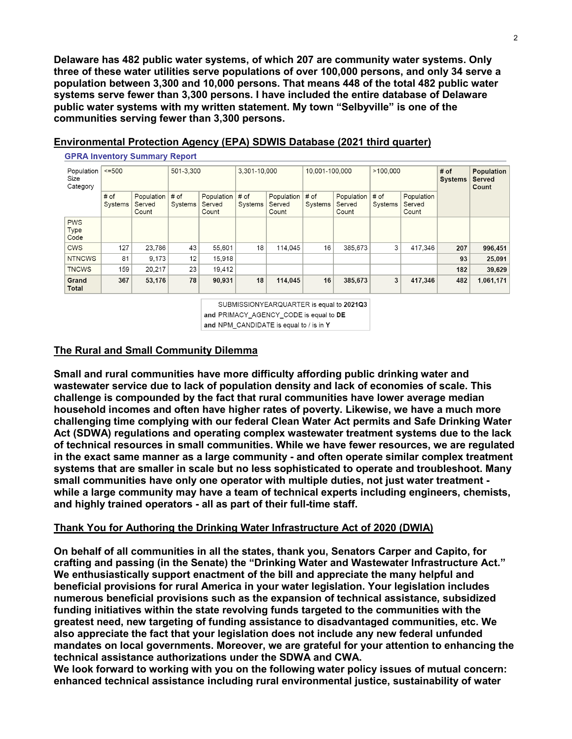**Delaware has 482 public water systems, of which 207 are community water systems. Only three of these water utilities serve populations of over 100,000 persons, and only 34 serve a population between 3,300 and 10,000 persons. That means 448 of the total 482 public water systems serve fewer than 3,300 persons. I have included the entire database of Delaware public water systems with my written statement. My town "Selbyville" is one of the communities serving fewer than 3,300 persons.**

| Population<br>Size<br>Category | $= 500$         |                               | 501-3.300       |                               | 3,301-10,000    |                               | 10,001-100,000  |                               | >100.000        |                               | # of<br><b>Systems</b> | Population<br>Served<br>Count |
|--------------------------------|-----------------|-------------------------------|-----------------|-------------------------------|-----------------|-------------------------------|-----------------|-------------------------------|-----------------|-------------------------------|------------------------|-------------------------------|
|                                | # of<br>Systems | Population<br>Served<br>Count | # of<br>Systems | Population<br>Served<br>Count | # of<br>Systems | Population<br>Served<br>Count | # of<br>Systems | Population<br>Served<br>Count | # of<br>Systems | Population<br>Served<br>Count |                        |                               |
| <b>PWS</b><br>Type<br>Code     |                 |                               |                 |                               |                 |                               |                 |                               |                 |                               |                        |                               |
| <b>CWS</b>                     | 127             | 23.786                        | 43              | 55.601                        | 18              | 114.045                       | 16              | 385.673                       | 3               | 417.346                       | 207                    | 996,451                       |
| <b>NTNCWS</b>                  | 81              | 9.173                         | 12 <sub>1</sub> | 15.918                        |                 |                               |                 |                               |                 |                               | 93                     | 25,091                        |
| <b>TNCWS</b>                   | 159             | 20,217                        | 23              | 19,412                        |                 |                               |                 |                               |                 |                               | 182                    | 39,629                        |
| Grand<br>Total                 | 367             | 53.176                        | 78              | 90,931                        | 18              | 114.045                       | 16              | 385,673                       | 3               | 417.346                       | 482                    | 1,061,171                     |

#### **Environmental Protection Agency (EPA) SDWIS Database (2021 third quarter)**

SUBMISSIONYEARQUARTER is equal to 2021Q3 and PRIMACY AGENCY CODE is equal to DE and NPM\_CANDIDATE is equal to / is in Y

#### **The Rural and Small Community Dilemma**

**GPRA Inventory Summary Report** 

**Small and rural communities have more difficulty affording public drinking water and wastewater service due to lack of population density and lack of economies of scale. This challenge is compounded by the fact that rural communities have lower average median household incomes and often have higher rates of poverty. Likewise, we have a much more challenging time complying with our federal Clean Water Act permits and Safe Drinking Water Act (SDWA) regulations and operating complex wastewater treatment systems due to the lack of technical resources in small communities. While we have fewer resources, we are regulated in the exact same manner as a large community - and often operate similar complex treatment systems that are smaller in scale but no less sophisticated to operate and troubleshoot. Many small communities have only one operator with multiple duties, not just water treatment while a large community may have a team of technical experts including engineers, chemists, and highly trained operators - all as part of their full-time staff.**

#### **Thank You for Authoring the Drinking Water Infrastructure Act of 2020 (DWIA)**

**On behalf of all communities in all the states, thank you, Senators Carper and Capito, for crafting and passing (in the Senate) the "Drinking Water and Wastewater Infrastructure Act." We enthusiastically support enactment of the bill and appreciate the many helpful and beneficial provisions for rural America in your water legislation. Your legislation includes numerous beneficial provisions such as the expansion of technical assistance, subsidized funding initiatives within the state revolving funds targeted to the communities with the greatest need, new targeting of funding assistance to disadvantaged communities, etc. We also appreciate the fact that your legislation does not include any new federal unfunded mandates on local governments. Moreover, we are grateful for your attention to enhancing the technical assistance authorizations under the SDWA and CWA.** 

**We look forward to working with you on the following water policy issues of mutual concern: enhanced technical assistance including rural environmental justice, sustainability of water**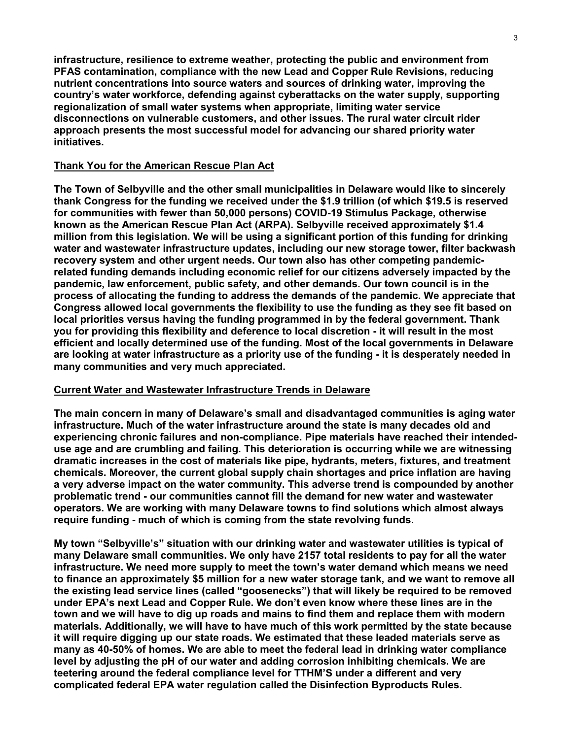**infrastructure, resilience to extreme weather, protecting the public and environment from PFAS contamination, compliance with the new Lead and Copper Rule Revisions, reducing nutrient concentrations into source waters and sources of drinking water, improving the country's water workforce, defending against cyberattacks on the water supply, supporting regionalization of small water systems when appropriate, limiting water service disconnections on vulnerable customers, and other issues. The rural water circuit rider approach presents the most successful model for advancing our shared priority water initiatives.**

#### **Thank You for the American Rescue Plan Act**

**The Town of Selbyville and the other small municipalities in Delaware would like to sincerely thank Congress for the funding we received under the \$1.9 trillion (of which \$19.5 is reserved for communities with fewer than 50,000 persons) COVID-19 Stimulus Package, otherwise known as the American Rescue Plan Act (ARPA). Selbyville received approximately \$1.4 million from this legislation. We will be using a significant portion of this funding for drinking water and wastewater infrastructure updates, including our new storage tower, filter backwash recovery system and other urgent needs. Our town also has other competing pandemicrelated funding demands including economic relief for our citizens adversely impacted by the pandemic, law enforcement, public safety, and other demands. Our town council is in the process of allocating the funding to address the demands of the pandemic. We appreciate that Congress allowed local governments the flexibility to use the funding as they see fit based on local priorities versus having the funding programmed in by the federal government. Thank you for providing this flexibility and deference to local discretion - it will result in the most efficient and locally determined use of the funding. Most of the local governments in Delaware are looking at water infrastructure as a priority use of the funding - it is desperately needed in many communities and very much appreciated.**

#### **Current Water and Wastewater Infrastructure Trends in Delaware**

**The main concern in many of Delaware's small and disadvantaged communities is aging water infrastructure. Much of the water infrastructure around the state is many decades old and experiencing chronic failures and non-compliance. Pipe materials have reached their intendeduse age and are crumbling and failing. This deterioration is occurring while we are witnessing dramatic increases in the cost of materials like pipe, hydrants, meters, fixtures, and treatment chemicals. Moreover, the current global supply chain shortages and price inflation are having a very adverse impact on the water community. This adverse trend is compounded by another problematic trend - our communities cannot fill the demand for new water and wastewater operators. We are working with many Delaware towns to find solutions which almost always require funding - much of which is coming from the state revolving funds.** 

**My town "Selbyville's" situation with our drinking water and wastewater utilities is typical of many Delaware small communities. We only have 2157 total residents to pay for all the water infrastructure. We need more supply to meet the town's water demand which means we need to finance an approximately \$5 million for a new water storage tank, and we want to remove all the existing lead service lines (called "goosenecks") that will likely be required to be removed under EPA's next Lead and Copper Rule. We don't even know where these lines are in the town and we will have to dig up roads and mains to find them and replace them with modern materials. Additionally, we will have to have much of this work permitted by the state because it will require digging up our state roads. We estimated that these leaded materials serve as many as 40-50% of homes. We are able to meet the federal lead in drinking water compliance level by adjusting the pH of our water and adding corrosion inhibiting chemicals. We are teetering around the federal compliance level for TTHM'S under a different and very complicated federal EPA water regulation called the Disinfection Byproducts Rules.**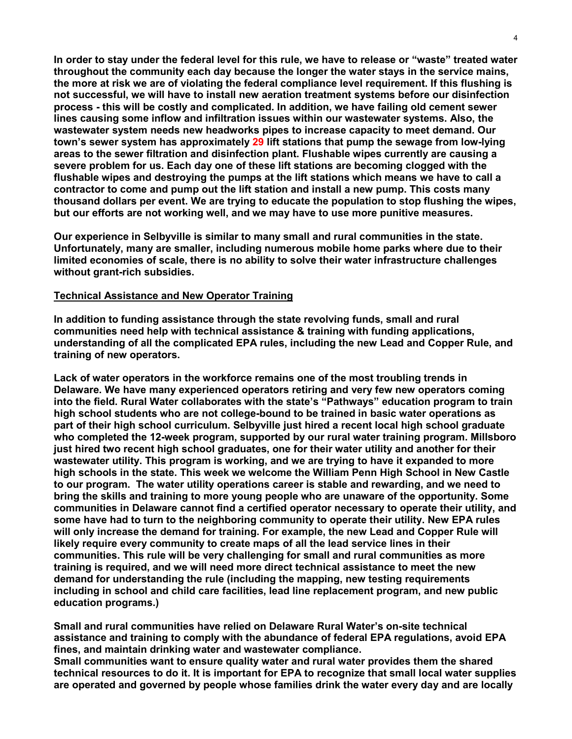**In order to stay under the federal level for this rule, we have to release or "waste" treated water throughout the community each day because the longer the water stays in the service mains, the more at risk we are of violating the federal compliance level requirement. If this flushing is not successful, we will have to install new aeration treatment systems before our disinfection process - this will be costly and complicated. In addition, we have failing old cement sewer lines causing some inflow and infiltration issues within our wastewater systems. Also, the wastewater system needs new headworks pipes to increase capacity to meet demand. Our town's sewer system has approximately 29 lift stations that pump the sewage from low-lying areas to the sewer filtration and disinfection plant. Flushable wipes currently are causing a severe problem for us. Each day one of these lift stations are becoming clogged with the flushable wipes and destroying the pumps at the lift stations which means we have to call a contractor to come and pump out the lift station and install a new pump. This costs many thousand dollars per event. We are trying to educate the population to stop flushing the wipes, but our efforts are not working well, and we may have to use more punitive measures.**

**Our experience in Selbyville is similar to many small and rural communities in the state. Unfortunately, many are smaller, including numerous mobile home parks where due to their limited economies of scale, there is no ability to solve their water infrastructure challenges without grant-rich subsidies.**

#### **Technical Assistance and New Operator Training**

**In addition to funding assistance through the state revolving funds, small and rural communities need help with technical assistance & training with funding applications, understanding of all the complicated EPA rules, including the new Lead and Copper Rule, and training of new operators.**

**Lack of water operators in the workforce remains one of the most troubling trends in Delaware. We have many experienced operators retiring and very few new operators coming into the field. Rural Water collaborates with the state's "Pathways" education program to train high school students who are not college-bound to be trained in basic water operations as part of their high school curriculum. Selbyville just hired a recent local high school graduate who completed the 12-week program, supported by our rural water training program. Millsboro just hired two recent high school graduates, one for their water utility and another for their wastewater utility. This program is working, and we are trying to have it expanded to more high schools in the state. This week we welcome the William Penn High School in New Castle to our program. The water utility operations career is stable and rewarding, and we need to bring the skills and training to more young people who are unaware of the opportunity. Some communities in Delaware cannot find a certified operator necessary to operate their utility, and some have had to turn to the neighboring community to operate their utility. New EPA rules will only increase the demand for training. For example, the new Lead and Copper Rule will likely require every community to create maps of all the lead service lines in their communities. This rule will be very challenging for small and rural communities as more training is required, and we will need more direct technical assistance to meet the new demand for understanding the rule (including the mapping, new testing requirements including in school and child care facilities, lead line replacement program, and new public education programs.)**

**Small and rural communities have relied on Delaware Rural Water's on-site technical assistance and training to comply with the abundance of federal EPA regulations, avoid EPA fines, and maintain drinking water and wastewater compliance.** 

**Small communities want to ensure quality water and rural water provides them the shared technical resources to do it. It is important for EPA to recognize that small local water supplies are operated and governed by people whose families drink the water every day and are locally**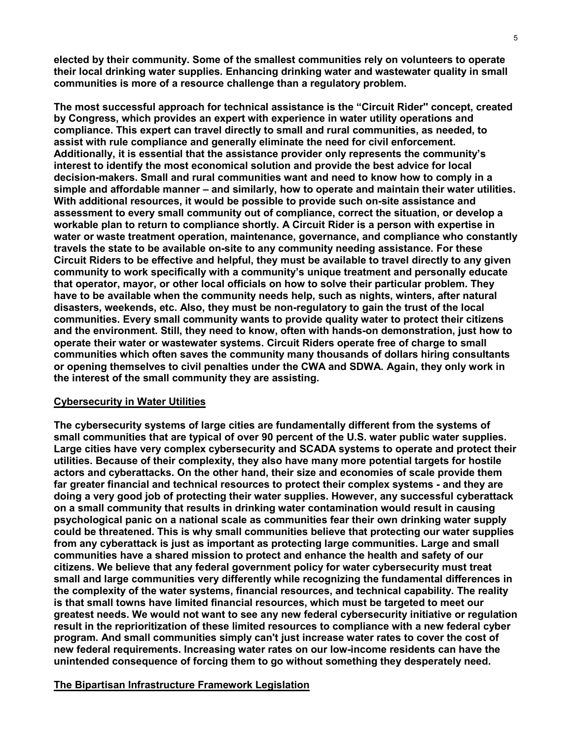**elected by their community. Some of the smallest communities rely on volunteers to operate their local drinking water supplies. Enhancing drinking water and wastewater quality in small communities is more of a resource challenge than a regulatory problem.**

**The most successful approach for technical assistance is the "Circuit Rider'' concept, created by Congress, which provides an expert with experience in water utility operations and compliance. This expert can travel directly to small and rural communities, as needed, to assist with rule compliance and generally eliminate the need for civil enforcement. Additionally, it is essential that the assistance provider only represents the community's interest to identify the most economical solution and provide the best advice for local decision-makers. Small and rural communities want and need to know how to comply in a simple and affordable manner – and similarly, how to operate and maintain their water utilities. With additional resources, it would be possible to provide such on-site assistance and assessment to every small community out of compliance, correct the situation, or develop a workable plan to return to compliance shortly. A Circuit Rider is a person with expertise in water or waste treatment operation, maintenance, governance, and compliance who constantly travels the state to be available on-site to any community needing assistance. For these Circuit Riders to be effective and helpful, they must be available to travel directly to any given community to work specifically with a community's unique treatment and personally educate that operator, mayor, or other local officials on how to solve their particular problem. They have to be available when the community needs help, such as nights, winters, after natural disasters, weekends, etc. Also, they must be non-regulatory to gain the trust of the local communities. Every small community wants to provide quality water to protect their citizens and the environment. Still, they need to know, often with hands-on demonstration, just how to operate their water or wastewater systems. Circuit Riders operate free of charge to small communities which often saves the community many thousands of dollars hiring consultants or opening themselves to civil penalties under the CWA and SDWA. Again, they only work in the interest of the small community they are assisting.**

#### **Cybersecurity in Water Utilities**

**The cybersecurity systems of large cities are fundamentally different from the systems of small communities that are typical of over 90 percent of the U.S. water public water supplies. Large cities have very complex cybersecurity and SCADA systems to operate and protect their utilities. Because of their complexity, they also have many more potential targets for hostile actors and cyberattacks. On the other hand, their size and economies of scale provide them far greater financial and technical resources to protect their complex systems - and they are doing a very good job of protecting their water supplies. However, any successful cyberattack on a small community that results in drinking water contamination would result in causing psychological panic on a national scale as communities fear their own drinking water supply could be threatened. This is why small communities believe that protecting our water supplies from any cyberattack is just as important as protecting large communities. Large and small communities have a shared mission to protect and enhance the health and safety of our citizens. We believe that any federal government policy for water cybersecurity must treat small and large communities very differently while recognizing the fundamental differences in the complexity of the water systems, financial resources, and technical capability. The reality is that small towns have limited financial resources, which must be targeted to meet our greatest needs. We would not want to see any new federal cybersecurity initiative or regulation result in the reprioritization of these limited resources to compliance with a new federal cyber program. And small communities simply can't just increase water rates to cover the cost of new federal requirements. Increasing water rates on our low-income residents can have the unintended consequence of forcing them to go without something they desperately need.**

#### **The Bipartisan Infrastructure Framework Legislation**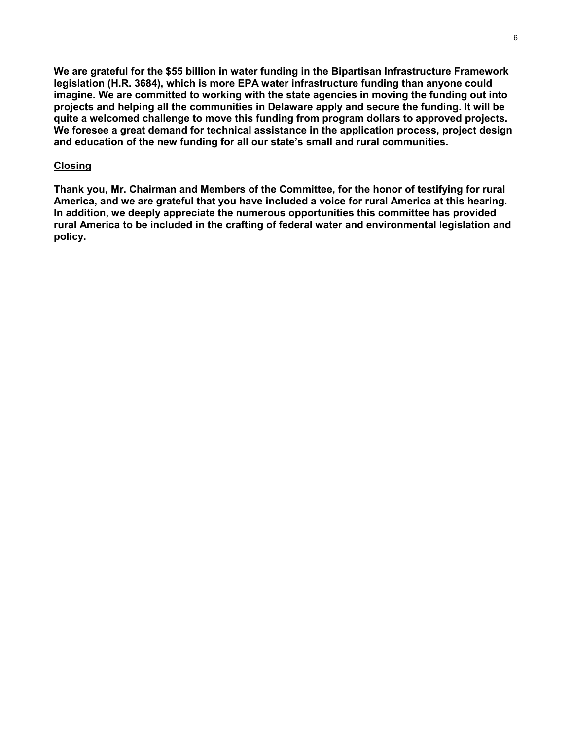**We are grateful for the \$55 billion in water funding in the Bipartisan Infrastructure Framework legislation (H.R. 3684), which is more EPA water infrastructure funding than anyone could imagine. We are committed to working with the state agencies in moving the funding out into projects and helping all the communities in Delaware apply and secure the funding. It will be quite a welcomed challenge to move this funding from program dollars to approved projects. We foresee a great demand for technical assistance in the application process, project design and education of the new funding for all our state's small and rural communities.**

#### **Closing**

**Thank you, Mr. Chairman and Members of the Committee, for the honor of testifying for rural America, and we are grateful that you have included a voice for rural America at this hearing. In addition, we deeply appreciate the numerous opportunities this committee has provided rural America to be included in the crafting of federal water and environmental legislation and policy.**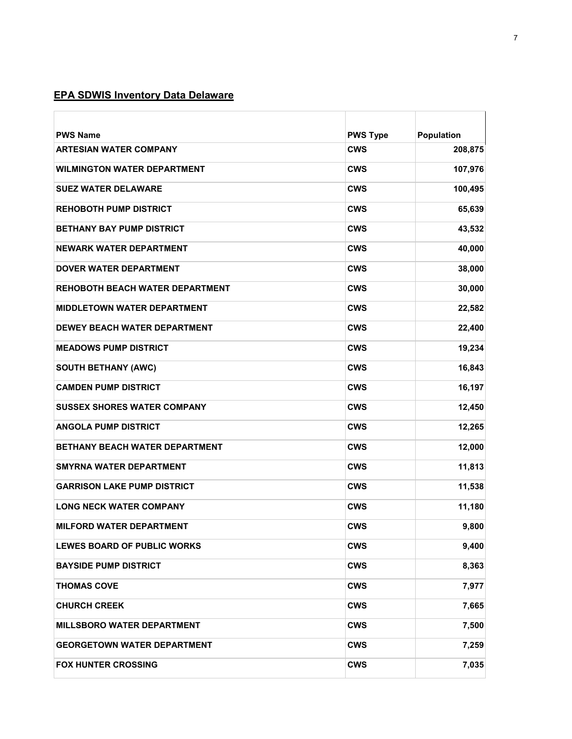## **EPA SDWIS Inventory Data Delaware**

| <b>PWS Name</b>                        | <b>PWS Type</b> | Population |
|----------------------------------------|-----------------|------------|
| <b>ARTESIAN WATER COMPANY</b>          | <b>CWS</b>      | 208,875    |
| <b>WILMINGTON WATER DEPARTMENT</b>     | <b>CWS</b>      | 107,976    |
| <b>SUEZ WATER DELAWARE</b>             | <b>CWS</b>      | 100,495    |
| <b>REHOBOTH PUMP DISTRICT</b>          | <b>CWS</b>      | 65,639     |
| <b>BETHANY BAY PUMP DISTRICT</b>       | <b>CWS</b>      | 43,532     |
| NEWARK WATER DEPARTMENT                | <b>CWS</b>      | 40,000     |
| DOVER WATER DEPARTMENT                 | <b>CWS</b>      | 38,000     |
| <b>REHOBOTH BEACH WATER DEPARTMENT</b> | <b>CWS</b>      | 30,000     |
| <b>MIDDLETOWN WATER DEPARTMENT</b>     | <b>CWS</b>      | 22,582     |
| <b>DEWEY BEACH WATER DEPARTMENT</b>    | <b>CWS</b>      | 22,400     |
| <b>MEADOWS PUMP DISTRICT</b>           | <b>CWS</b>      | 19,234     |
| <b>SOUTH BETHANY (AWC)</b>             | <b>CWS</b>      | 16,843     |
| <b>CAMDEN PUMP DISTRICT</b>            | <b>CWS</b>      | 16,197     |
| <b>SUSSEX SHORES WATER COMPANY</b>     | <b>CWS</b>      | 12,450     |
| <b>ANGOLA PUMP DISTRICT</b>            | <b>CWS</b>      | 12,265     |
| <b>BETHANY BEACH WATER DEPARTMENT</b>  | <b>CWS</b>      | 12,000     |
| <b>SMYRNA WATER DEPARTMENT</b>         | <b>CWS</b>      | 11,813     |
| <b>GARRISON LAKE PUMP DISTRICT</b>     | <b>CWS</b>      | 11,538     |
| <b>LONG NECK WATER COMPANY</b>         | <b>CWS</b>      | 11,180     |
| MILFORD WATER DEPARTMENT               | <b>CWS</b>      | 9,800      |
| <b>LEWES BOARD OF PUBLIC WORKS</b>     | <b>CWS</b>      | 9,400      |
| <b>BAYSIDE PUMP DISTRICT</b>           | <b>CWS</b>      | 8,363      |
| <b>THOMAS COVE</b>                     | <b>CWS</b>      | 7,977      |
| <b>CHURCH CREEK</b>                    | <b>CWS</b>      | 7,665      |
| <b>MILLSBORO WATER DEPARTMENT</b>      | <b>CWS</b>      | 7,500      |
| <b>GEORGETOWN WATER DEPARTMENT</b>     | <b>CWS</b>      | 7,259      |
| <b>FOX HUNTER CROSSING</b>             | <b>CWS</b>      | 7,035      |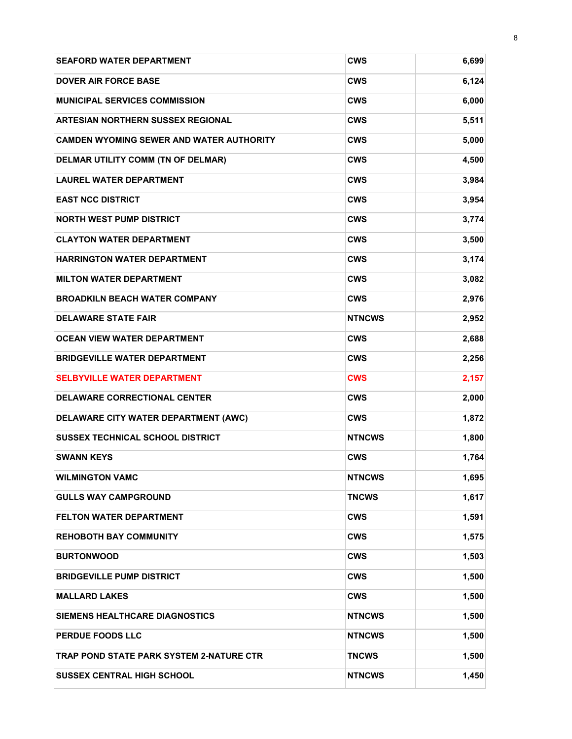| <b>SEAFORD WATER DEPARTMENT</b>                 | <b>CWS</b>    | 6,699 |
|-------------------------------------------------|---------------|-------|
| <b>DOVER AIR FORCE BASE</b>                     | <b>CWS</b>    | 6,124 |
| <b>MUNICIPAL SERVICES COMMISSION</b>            | <b>CWS</b>    | 6,000 |
| <b>ARTESIAN NORTHERN SUSSEX REGIONAL</b>        | <b>CWS</b>    | 5,511 |
| <b>CAMDEN WYOMING SEWER AND WATER AUTHORITY</b> | <b>CWS</b>    | 5,000 |
| DELMAR UTILITY COMM (TN OF DELMAR)              | <b>CWS</b>    | 4,500 |
| <b>LAUREL WATER DEPARTMENT</b>                  | <b>CWS</b>    | 3,984 |
| <b>EAST NCC DISTRICT</b>                        | <b>CWS</b>    | 3,954 |
| <b>NORTH WEST PUMP DISTRICT</b>                 | <b>CWS</b>    | 3,774 |
| <b>CLAYTON WATER DEPARTMENT</b>                 | <b>CWS</b>    | 3,500 |
| <b>HARRINGTON WATER DEPARTMENT</b>              | <b>CWS</b>    | 3,174 |
| <b>MILTON WATER DEPARTMENT</b>                  | <b>CWS</b>    | 3,082 |
| <b>BROADKILN BEACH WATER COMPANY</b>            | <b>CWS</b>    | 2,976 |
| <b>DELAWARE STATE FAIR</b>                      | <b>NTNCWS</b> | 2,952 |
| <b>OCEAN VIEW WATER DEPARTMENT</b>              | CWS           | 2,688 |
| <b>BRIDGEVILLE WATER DEPARTMENT</b>             | <b>CWS</b>    | 2,256 |
| <b>SELBYVILLE WATER DEPARTMENT</b>              | <b>CWS</b>    | 2,157 |
| <b>DELAWARE CORRECTIONAL CENTER</b>             | <b>CWS</b>    | 2,000 |
| DELAWARE CITY WATER DEPARTMENT (AWC)            | <b>CWS</b>    | 1,872 |
| <b>SUSSEX TECHNICAL SCHOOL DISTRICT</b>         | <b>NTNCWS</b> | 1,800 |
| <b>SWANN KEYS</b>                               | <b>CWS</b>    | 1,764 |
| <b>WILMINGTON VAMC</b>                          | <b>NTNCWS</b> | 1,695 |
| <b>GULLS WAY CAMPGROUND</b>                     | TNCWS         | 1,617 |
| <b>FELTON WATER DEPARTMENT</b>                  | <b>CWS</b>    | 1,591 |
| <b>REHOBOTH BAY COMMUNITY</b>                   | CWS           | 1,575 |
| <b>BURTONWOOD</b>                               | <b>CWS</b>    | 1,503 |
| <b>BRIDGEVILLE PUMP DISTRICT</b>                | CWS           | 1,500 |
| <b>MALLARD LAKES</b>                            | <b>CWS</b>    | 1,500 |
| SIEMENS HEALTHCARE DIAGNOSTICS                  | <b>NTNCWS</b> | 1,500 |
| PERDUE FOODS LLC                                | <b>NTNCWS</b> | 1,500 |
| TRAP POND STATE PARK SYSTEM 2-NATURE CTR        | TNCWS         | 1,500 |
| <b>SUSSEX CENTRAL HIGH SCHOOL</b>               | <b>NTNCWS</b> | 1,450 |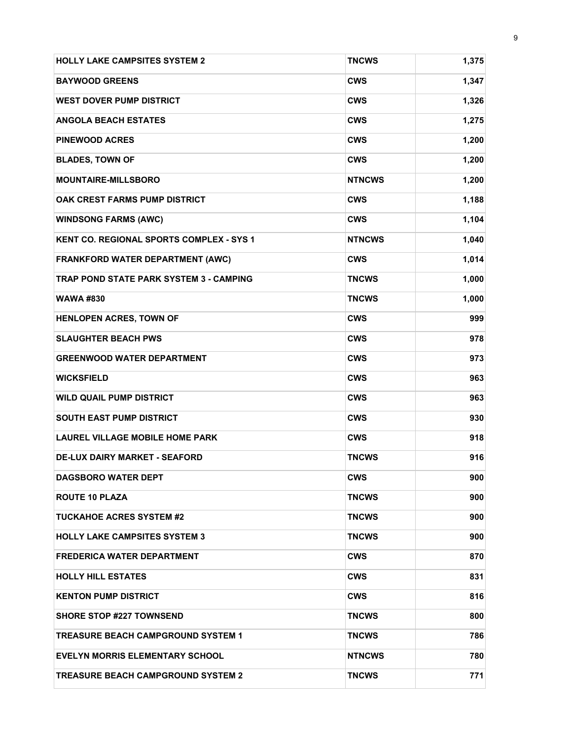| <b>HOLLY LAKE CAMPSITES SYSTEM 2</b>            | <b>TNCWS</b>  | 1,375 |
|-------------------------------------------------|---------------|-------|
| <b>BAYWOOD GREENS</b>                           | <b>CWS</b>    | 1,347 |
| <b>WEST DOVER PUMP DISTRICT</b>                 | <b>CWS</b>    | 1,326 |
| <b>ANGOLA BEACH ESTATES</b>                     | <b>CWS</b>    | 1,275 |
| <b>PINEWOOD ACRES</b>                           | <b>CWS</b>    | 1,200 |
| <b>BLADES, TOWN OF</b>                          | <b>CWS</b>    | 1,200 |
| <b>MOUNTAIRE-MILLSBORO</b>                      | <b>NTNCWS</b> | 1,200 |
| OAK CREST FARMS PUMP DISTRICT                   | <b>CWS</b>    | 1,188 |
| <b>WINDSONG FARMS (AWC)</b>                     | <b>CWS</b>    | 1,104 |
| <b>KENT CO. REGIONAL SPORTS COMPLEX - SYS 1</b> | <b>NTNCWS</b> | 1,040 |
| <b>FRANKFORD WATER DEPARTMENT (AWC)</b>         | <b>CWS</b>    | 1,014 |
| <b>TRAP POND STATE PARK SYSTEM 3 - CAMPING</b>  | <b>TNCWS</b>  | 1,000 |
| <b>WAWA #830</b>                                | <b>TNCWS</b>  | 1,000 |
| HENLOPEN ACRES, TOWN OF                         | <b>CWS</b>    | 999   |
| <b>SLAUGHTER BEACH PWS</b>                      | <b>CWS</b>    | 978   |
| <b>GREENWOOD WATER DEPARTMENT</b>               | <b>CWS</b>    | 973   |
| <b>WICKSFIELD</b>                               | <b>CWS</b>    | 963   |
| <b>WILD QUAIL PUMP DISTRICT</b>                 | <b>CWS</b>    | 963   |
| <b>SOUTH EAST PUMP DISTRICT</b>                 | <b>CWS</b>    | 930   |
| <b>LAUREL VILLAGE MOBILE HOME PARK</b>          | <b>CWS</b>    | 918   |
| <b>DE-LUX DAIRY MARKET - SEAFORD</b>            | <b>TNCWS</b>  | 916   |
| <b>DAGSBORO WATER DEPT</b>                      | CWS           | 900   |
| <b>ROUTE 10 PLAZA</b>                           | <b>TNCWS</b>  | 900   |
| <b>TUCKAHOE ACRES SYSTEM #2</b>                 | <b>TNCWS</b>  | 900   |
| <b>HOLLY LAKE CAMPSITES SYSTEM 3</b>            | TNCWS         | 900   |
| <b>FREDERICA WATER DEPARTMENT</b>               | <b>CWS</b>    | 870   |
| <b>HOLLY HILL ESTATES</b>                       | <b>CWS</b>    | 831   |
| <b>KENTON PUMP DISTRICT</b>                     | CWS           | 816   |
| <b>SHORE STOP #227 TOWNSEND</b>                 | TNCWS         | 800   |
| <b>TREASURE BEACH CAMPGROUND SYSTEM 1</b>       | TNCWS         | 786   |
| <b>EVELYN MORRIS ELEMENTARY SCHOOL</b>          | <b>NTNCWS</b> | 780   |
| <b>TREASURE BEACH CAMPGROUND SYSTEM 2</b>       | <b>TNCWS</b>  | 771   |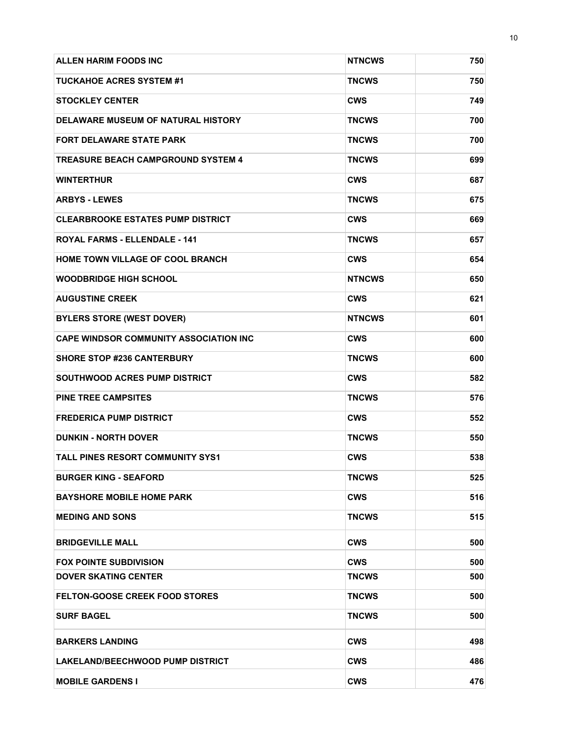| <b>ALLEN HARIM FOODS INC</b>                  | <b>NTNCWS</b> | 750 |
|-----------------------------------------------|---------------|-----|
| <b>TUCKAHOE ACRES SYSTEM #1</b>               | <b>TNCWS</b>  | 750 |
| <b>STOCKLEY CENTER</b>                        | <b>CWS</b>    | 749 |
| <b>DELAWARE MUSEUM OF NATURAL HISTORY</b>     | <b>TNCWS</b>  | 700 |
| <b>FORT DELAWARE STATE PARK</b>               | <b>TNCWS</b>  | 700 |
| <b>TREASURE BEACH CAMPGROUND SYSTEM 4</b>     | <b>TNCWS</b>  | 699 |
| <b>WINTERTHUR</b>                             | <b>CWS</b>    | 687 |
| <b>ARBYS - LEWES</b>                          | <b>TNCWS</b>  | 675 |
| <b>CLEARBROOKE ESTATES PUMP DISTRICT</b>      | <b>CWS</b>    | 669 |
| <b>ROYAL FARMS - ELLENDALE - 141</b>          | <b>TNCWS</b>  | 657 |
| HOME TOWN VILLAGE OF COOL BRANCH              | <b>CWS</b>    | 654 |
| <b>WOODBRIDGE HIGH SCHOOL</b>                 | <b>NTNCWS</b> | 650 |
| <b>AUGUSTINE CREEK</b>                        | <b>CWS</b>    | 621 |
| <b>BYLERS STORE (WEST DOVER)</b>              | <b>NTNCWS</b> | 601 |
| <b>CAPE WINDSOR COMMUNITY ASSOCIATION INC</b> | <b>CWS</b>    | 600 |
| <b>SHORE STOP #236 CANTERBURY</b>             | <b>TNCWS</b>  | 600 |
| <b>SOUTHWOOD ACRES PUMP DISTRICT</b>          | <b>CWS</b>    | 582 |
| <b>PINE TREE CAMPSITES</b>                    | <b>TNCWS</b>  | 576 |
| <b>FREDERICA PUMP DISTRICT</b>                | <b>CWS</b>    | 552 |
| <b>DUNKIN - NORTH DOVER</b>                   | <b>TNCWS</b>  | 550 |
| <b>TALL PINES RESORT COMMUNITY SYS1</b>       | <b>CWS</b>    | 538 |
| <b>BURGER KING - SEAFORD</b>                  | <b>TNCWS</b>  | 525 |
| <b>BAYSHORE MOBILE HOME PARK</b>              | <b>CWS</b>    | 516 |
| <b>MEDING AND SONS</b>                        | <b>TNCWS</b>  | 515 |
| <b>BRIDGEVILLE MALL</b>                       | <b>CWS</b>    | 500 |
| <b>FOX POINTE SUBDIVISION</b>                 | <b>CWS</b>    | 500 |
| <b>DOVER SKATING CENTER</b>                   | <b>TNCWS</b>  | 500 |
| <b>FELTON-GOOSE CREEK FOOD STORES</b>         | <b>TNCWS</b>  | 500 |
| <b>SURF BAGEL</b>                             | <b>TNCWS</b>  | 500 |
| <b>BARKERS LANDING</b>                        | CWS           | 498 |
| LAKELAND/BEECHWOOD PUMP DISTRICT              | <b>CWS</b>    | 486 |
| <b>MOBILE GARDENS I</b>                       | <b>CWS</b>    | 476 |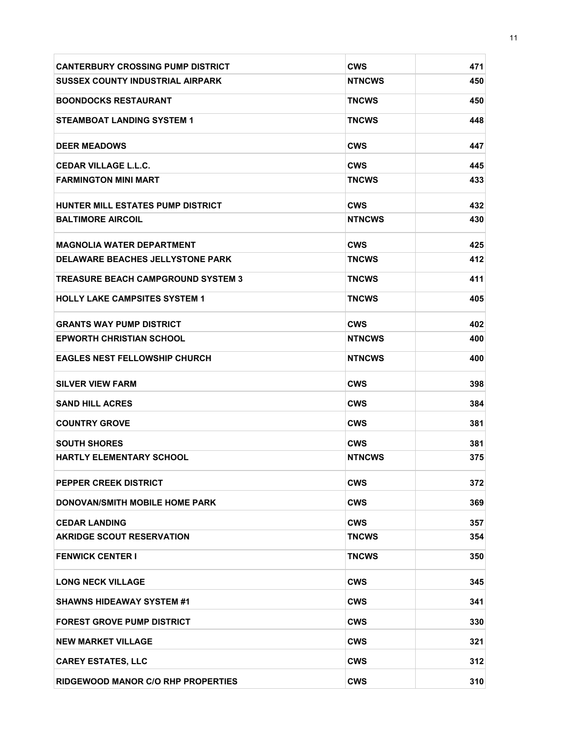| <b>CANTERBURY CROSSING PUMP DISTRICT</b>  | <b>CWS</b>    | 471 |
|-------------------------------------------|---------------|-----|
| <b>SUSSEX COUNTY INDUSTRIAL AIRPARK</b>   | <b>NTNCWS</b> | 450 |
| <b>BOONDOCKS RESTAURANT</b>               | <b>TNCWS</b>  | 450 |
| <b>STEAMBOAT LANDING SYSTEM 1</b>         | <b>TNCWS</b>  | 448 |
| <b>DEER MEADOWS</b>                       | <b>CWS</b>    | 447 |
| <b>CEDAR VILLAGE L.L.C.</b>               | <b>CWS</b>    | 445 |
| <b>FARMINGTON MINI MART</b>               | <b>TNCWS</b>  | 433 |
| HUNTER MILL ESTATES PUMP DISTRICT         | <b>CWS</b>    | 432 |
| <b>BALTIMORE AIRCOIL</b>                  | <b>NTNCWS</b> | 430 |
| <b>MAGNOLIA WATER DEPARTMENT</b>          | <b>CWS</b>    | 425 |
| <b>DELAWARE BEACHES JELLYSTONE PARK</b>   | <b>TNCWS</b>  | 412 |
| <b>TREASURE BEACH CAMPGROUND SYSTEM 3</b> | <b>TNCWS</b>  | 411 |
| <b>HOLLY LAKE CAMPSITES SYSTEM 1</b>      | <b>TNCWS</b>  | 405 |
| <b>GRANTS WAY PUMP DISTRICT</b>           | <b>CWS</b>    | 402 |
| <b>EPWORTH CHRISTIAN SCHOOL</b>           | <b>NTNCWS</b> | 400 |
| <b>EAGLES NEST FELLOWSHIP CHURCH</b>      | <b>NTNCWS</b> | 400 |
| <b>SILVER VIEW FARM</b>                   | <b>CWS</b>    | 398 |
| <b>SAND HILL ACRES</b>                    | <b>CWS</b>    | 384 |
| <b>COUNTRY GROVE</b>                      | <b>CWS</b>    | 381 |
| <b>SOUTH SHORES</b>                       | <b>CWS</b>    | 381 |
| <b>HARTLY ELEMENTARY SCHOOL</b>           | <b>NTNCWS</b> | 375 |
| PEPPER CREEK DISTRICT                     | <b>CWS</b>    | 372 |
| <b>DONOVAN/SMITH MOBILE HOME PARK</b>     | <b>CWS</b>    | 369 |
| <b>CEDAR LANDING</b>                      | <b>CWS</b>    | 357 |
| <b>AKRIDGE SCOUT RESERVATION</b>          | <b>TNCWS</b>  | 354 |
| <b>FENWICK CENTER I</b>                   | <b>TNCWS</b>  | 350 |
| <b>LONG NECK VILLAGE</b>                  | <b>CWS</b>    | 345 |
| <b>SHAWNS HIDEAWAY SYSTEM #1</b>          | <b>CWS</b>    | 341 |
| <b>FOREST GROVE PUMP DISTRICT</b>         | <b>CWS</b>    | 330 |
| <b>NEW MARKET VILLAGE</b>                 | <b>CWS</b>    | 321 |
| <b>CAREY ESTATES, LLC</b>                 | <b>CWS</b>    | 312 |
| <b>RIDGEWOOD MANOR C/O RHP PROPERTIES</b> | <b>CWS</b>    | 310 |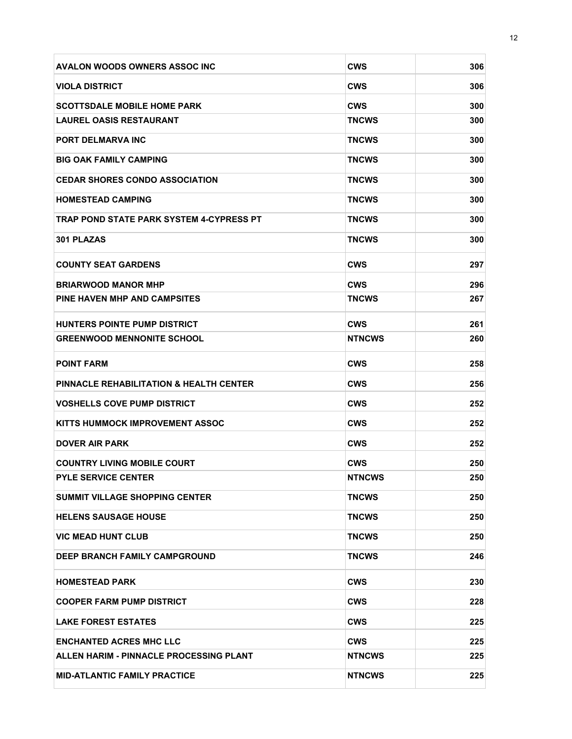| <b>AVALON WOODS OWNERS ASSOC INC</b>               | <b>CWS</b>    | 306 |
|----------------------------------------------------|---------------|-----|
| <b>VIOLA DISTRICT</b>                              | <b>CWS</b>    | 306 |
| <b>SCOTTSDALE MOBILE HOME PARK</b>                 | <b>CWS</b>    | 300 |
| <b>LAUREL OASIS RESTAURANT</b>                     | <b>TNCWS</b>  | 300 |
| PORT DELMARVA INC                                  | TNCWS         | 300 |
| <b>BIG OAK FAMILY CAMPING</b>                      | TNCWS         | 300 |
| <b>CEDAR SHORES CONDO ASSOCIATION</b>              | TNCWS         | 300 |
| <b>HOMESTEAD CAMPING</b>                           | TNCWS         | 300 |
| TRAP POND STATE PARK SYSTEM 4-CYPRESS PT           | TNCWS         | 300 |
| <b>301 PLAZAS</b>                                  | <b>TNCWS</b>  | 300 |
| <b>COUNTY SEAT GARDENS</b>                         | CWS           | 297 |
| <b>BRIARWOOD MANOR MHP</b>                         | <b>CWS</b>    | 296 |
| PINE HAVEN MHP AND CAMPSITES                       | <b>TNCWS</b>  | 267 |
| <b>HUNTERS POINTE PUMP DISTRICT</b>                | <b>CWS</b>    | 261 |
| <b>GREENWOOD MENNONITE SCHOOL</b>                  | <b>NTNCWS</b> | 260 |
| <b>POINT FARM</b>                                  | CWS           | 258 |
| <b>PINNACLE REHABILITATION &amp; HEALTH CENTER</b> | <b>CWS</b>    | 256 |
| <b>VOSHELLS COVE PUMP DISTRICT</b>                 | CWS           | 252 |
| KITTS HUMMOCK IMPROVEMENT ASSOC                    | <b>CWS</b>    | 252 |
| <b>DOVER AIR PARK</b>                              | CWS           | 252 |
| <b>COUNTRY LIVING MOBILE COURT</b>                 | CWS           | 250 |
| <b>PYLE SERVICE CENTER</b>                         | <b>NTNCWS</b> | 250 |
| <b>SUMMIT VILLAGE SHOPPING CENTER</b>              | TNCWS         | 250 |
| <b>HELENS SAUSAGE HOUSE</b>                        | TNCWS         | 250 |
| <b>VIC MEAD HUNT CLUB</b>                          | TNCWS         | 250 |
| DEEP BRANCH FAMILY CAMPGROUND                      | <b>TNCWS</b>  | 246 |
| <b>HOMESTEAD PARK</b>                              | <b>CWS</b>    | 230 |
| <b>COOPER FARM PUMP DISTRICT</b>                   | <b>CWS</b>    | 228 |
| <b>LAKE FOREST ESTATES</b>                         | CWS           | 225 |
| <b>ENCHANTED ACRES MHC LLC</b>                     | <b>CWS</b>    | 225 |
| ALLEN HARIM - PINNACLE PROCESSING PLANT            | <b>NTNCWS</b> | 225 |
| <b>MID-ATLANTIC FAMILY PRACTICE</b>                | <b>NTNCWS</b> | 225 |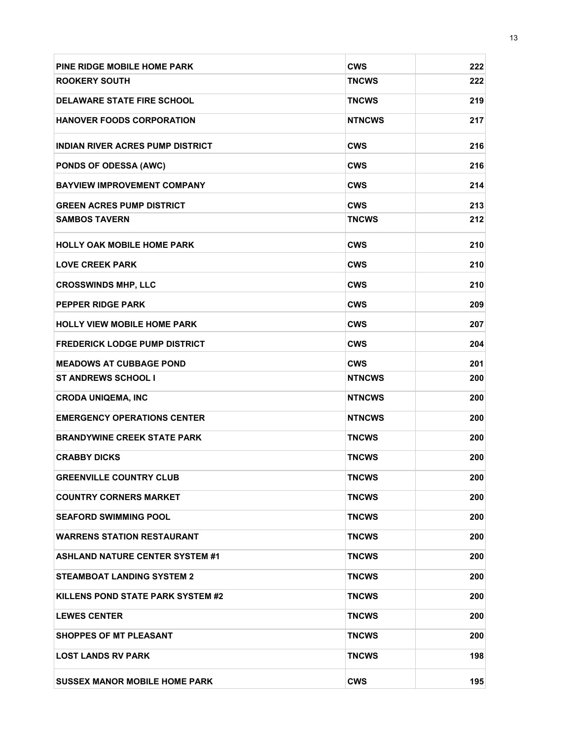| PINE RIDGE MOBILE HOME PARK             | <b>CWS</b>    | 222 |
|-----------------------------------------|---------------|-----|
| <b>ROOKERY SOUTH</b>                    | <b>TNCWS</b>  | 222 |
| <b>DELAWARE STATE FIRE SCHOOL</b>       | <b>TNCWS</b>  | 219 |
| <b>HANOVER FOODS CORPORATION</b>        | <b>NTNCWS</b> | 217 |
| <b>INDIAN RIVER ACRES PUMP DISTRICT</b> | <b>CWS</b>    | 216 |
| <b>PONDS OF ODESSA (AWC)</b>            | <b>CWS</b>    | 216 |
| <b>BAYVIEW IMPROVEMENT COMPANY</b>      | <b>CWS</b>    | 214 |
| <b>GREEN ACRES PUMP DISTRICT</b>        | <b>CWS</b>    | 213 |
| <b>SAMBOS TAVERN</b>                    | <b>TNCWS</b>  | 212 |
| <b>HOLLY OAK MOBILE HOME PARK</b>       | <b>CWS</b>    | 210 |
| <b>LOVE CREEK PARK</b>                  | <b>CWS</b>    | 210 |
| <b>CROSSWINDS MHP, LLC</b>              | <b>CWS</b>    | 210 |
| <b>PEPPER RIDGE PARK</b>                | <b>CWS</b>    | 209 |
| <b>HOLLY VIEW MOBILE HOME PARK</b>      | <b>CWS</b>    | 207 |
| <b>FREDERICK LODGE PUMP DISTRICT</b>    | <b>CWS</b>    | 204 |
| <b>MEADOWS AT CUBBAGE POND</b>          | <b>CWS</b>    | 201 |
| <b>ST ANDREWS SCHOOL I</b>              | <b>NTNCWS</b> | 200 |
| <b>CRODA UNIQEMA, INC</b>               | <b>NTNCWS</b> | 200 |
| <b>EMERGENCY OPERATIONS CENTER</b>      | <b>NTNCWS</b> | 200 |
| <b>BRANDYWINE CREEK STATE PARK</b>      | <b>TNCWS</b>  | 200 |
| <b>CRABBY DICKS</b>                     | <b>TNCWS</b>  | 200 |
| <b>GREENVILLE COUNTRY CLUB</b>          | TNCWS         | 200 |
| <b>COUNTRY CORNERS MARKET</b>           | <b>TNCWS</b>  | 200 |
| <b>SEAFORD SWIMMING POOL</b>            | <b>TNCWS</b>  | 200 |
| <b>WARRENS STATION RESTAURANT</b>       | <b>TNCWS</b>  | 200 |
| <b>ASHLAND NATURE CENTER SYSTEM #1</b>  | <b>TNCWS</b>  | 200 |
| <b>STEAMBOAT LANDING SYSTEM 2</b>       | <b>TNCWS</b>  | 200 |
| KILLENS POND STATE PARK SYSTEM #2       | <b>TNCWS</b>  | 200 |
| <b>LEWES CENTER</b>                     | <b>TNCWS</b>  | 200 |
| <b>SHOPPES OF MT PLEASANT</b>           | <b>TNCWS</b>  | 200 |
| <b>LOST LANDS RV PARK</b>               | <b>TNCWS</b>  | 198 |
| <b>SUSSEX MANOR MOBILE HOME PARK</b>    | CWS           | 195 |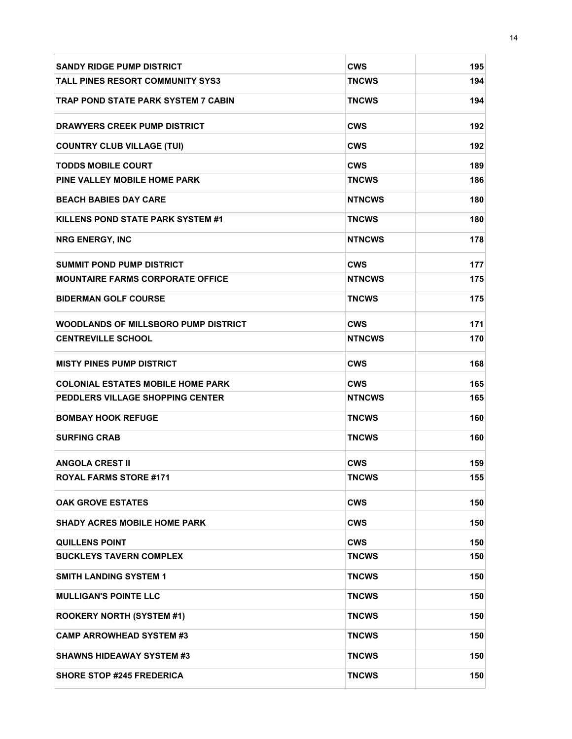| <b>SANDY RIDGE PUMP DISTRICT</b>            | <b>CWS</b>    | 195 |
|---------------------------------------------|---------------|-----|
| <b>TALL PINES RESORT COMMUNITY SYS3</b>     | TNCWS         | 194 |
| TRAP POND STATE PARK SYSTEM 7 CABIN         | TNCWS         | 194 |
| <b>DRAWYERS CREEK PUMP DISTRICT</b>         | <b>CWS</b>    | 192 |
| <b>COUNTRY CLUB VILLAGE (TUI)</b>           | <b>CWS</b>    | 192 |
| <b>TODDS MOBILE COURT</b>                   | <b>CWS</b>    | 189 |
| PINE VALLEY MOBILE HOME PARK                | TNCWS         | 186 |
| <b>BEACH BABIES DAY CARE</b>                | <b>NTNCWS</b> | 180 |
| KILLENS POND STATE PARK SYSTEM #1           | TNCWS         | 180 |
| <b>NRG ENERGY, INC</b>                      | <b>NTNCWS</b> | 178 |
| <b>SUMMIT POND PUMP DISTRICT</b>            | <b>CWS</b>    | 177 |
| <b>MOUNTAIRE FARMS CORPORATE OFFICE</b>     | <b>NTNCWS</b> | 175 |
| <b>BIDERMAN GOLF COURSE</b>                 | TNCWS         | 175 |
| <b>WOODLANDS OF MILLSBORO PUMP DISTRICT</b> | <b>CWS</b>    | 171 |
| <b>CENTREVILLE SCHOOL</b>                   | <b>NTNCWS</b> | 170 |
| <b>MISTY PINES PUMP DISTRICT</b>            | <b>CWS</b>    | 168 |
| <b>COLONIAL ESTATES MOBILE HOME PARK</b>    | <b>CWS</b>    | 165 |
| PEDDLERS VILLAGE SHOPPING CENTER            | <b>NTNCWS</b> | 165 |
| <b>BOMBAY HOOK REFUGE</b>                   | TNCWS         | 160 |
| <b>SURFING CRAB</b>                         | TNCWS         | 160 |
| <b>ANGOLA CREST II</b>                      | CWS           | 159 |
| <b>ROYAL FARMS STORE #171</b>               | <b>TNCWS</b>  | 155 |
| <b>OAK GROVE ESTATES</b>                    | <b>CWS</b>    | 150 |
| <b>SHADY ACRES MOBILE HOME PARK</b>         | <b>CWS</b>    | 150 |
| <b>QUILLENS POINT</b>                       | <b>CWS</b>    | 150 |
| <b>BUCKLEYS TAVERN COMPLEX</b>              | TNCWS         | 150 |
| <b>SMITH LANDING SYSTEM 1</b>               | <b>TNCWS</b>  | 150 |
| <b>MULLIGAN'S POINTE LLC</b>                | TNCWS         | 150 |
| <b>ROOKERY NORTH (SYSTEM #1)</b>            | TNCWS         | 150 |
| <b>CAMP ARROWHEAD SYSTEM #3</b>             | TNCWS         | 150 |
| <b>SHAWNS HIDEAWAY SYSTEM #3</b>            | TNCWS         | 150 |
| <b>SHORE STOP #245 FREDERICA</b>            | TNCWS         | 150 |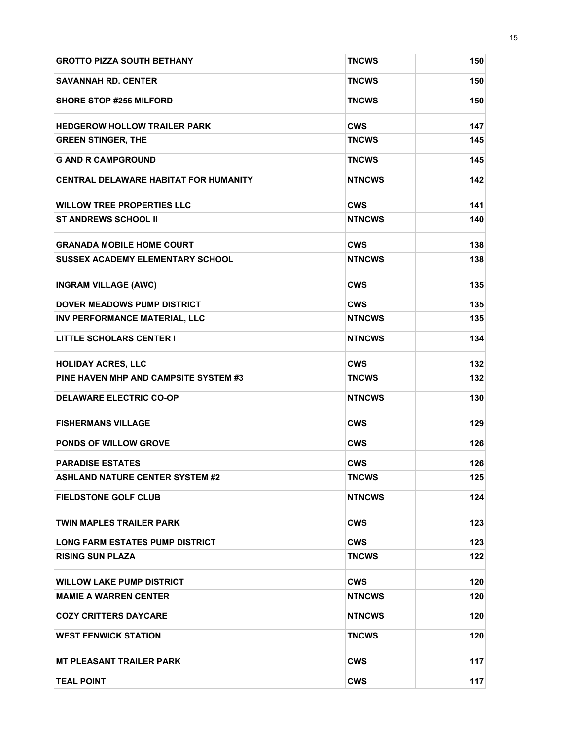| <b>GROTTO PIZZA SOUTH BETHANY</b>            | <b>TNCWS</b>  | 150 |
|----------------------------------------------|---------------|-----|
| <b>SAVANNAH RD. CENTER</b>                   | <b>TNCWS</b>  | 150 |
| <b>SHORE STOP #256 MILFORD</b>               | <b>TNCWS</b>  | 150 |
| <b>HEDGEROW HOLLOW TRAILER PARK</b>          | <b>CWS</b>    | 147 |
| <b>GREEN STINGER, THE</b>                    | TNCWS         | 145 |
| <b>G AND R CAMPGROUND</b>                    | <b>TNCWS</b>  | 145 |
| <b>CENTRAL DELAWARE HABITAT FOR HUMANITY</b> | <b>NTNCWS</b> | 142 |
| <b>WILLOW TREE PROPERTIES LLC</b>            | <b>CWS</b>    | 141 |
| <b>ST ANDREWS SCHOOL II</b>                  | <b>NTNCWS</b> | 140 |
| <b>GRANADA MOBILE HOME COURT</b>             | <b>CWS</b>    | 138 |
| <b>SUSSEX ACADEMY ELEMENTARY SCHOOL</b>      | <b>NTNCWS</b> | 138 |
| <b>INGRAM VILLAGE (AWC)</b>                  | <b>CWS</b>    | 135 |
| <b>DOVER MEADOWS PUMP DISTRICT</b>           | <b>CWS</b>    | 135 |
| <b>INV PERFORMANCE MATERIAL, LLC</b>         | <b>NTNCWS</b> | 135 |
| <b>LITTLE SCHOLARS CENTER I</b>              | <b>NTNCWS</b> | 134 |
| <b>HOLIDAY ACRES, LLC</b>                    | <b>CWS</b>    | 132 |
| PINE HAVEN MHP AND CAMPSITE SYSTEM #3        | TNCWS         | 132 |
| <b>DELAWARE ELECTRIC CO-OP</b>               | <b>NTNCWS</b> | 130 |
| <b>FISHERMANS VILLAGE</b>                    | <b>CWS</b>    | 129 |
| PONDS OF WILLOW GROVE                        | <b>CWS</b>    | 126 |
| <b>PARADISE ESTATES</b>                      | <b>CWS</b>    | 126 |
| <b>ASHLAND NATURE CENTER SYSTEM #2</b>       | TNCWS         | 125 |
| <b>FIELDSTONE GOLF CLUB</b>                  | <b>NTNCWS</b> | 124 |
| <b>TWIN MAPLES TRAILER PARK</b>              | CWS           | 123 |
| <b>LONG FARM ESTATES PUMP DISTRICT</b>       | <b>CWS</b>    | 123 |
| <b>RISING SUN PLAZA</b>                      | <b>TNCWS</b>  | 122 |
| <b>WILLOW LAKE PUMP DISTRICT</b>             | <b>CWS</b>    | 120 |
| <b>MAMIE A WARREN CENTER</b>                 | <b>NTNCWS</b> | 120 |
| <b>COZY CRITTERS DAYCARE</b>                 | <b>NTNCWS</b> | 120 |
| <b>WEST FENWICK STATION</b>                  | TNCWS         | 120 |
| <b>MT PLEASANT TRAILER PARK</b>              | <b>CWS</b>    | 117 |
| <b>TEAL POINT</b>                            | <b>CWS</b>    | 117 |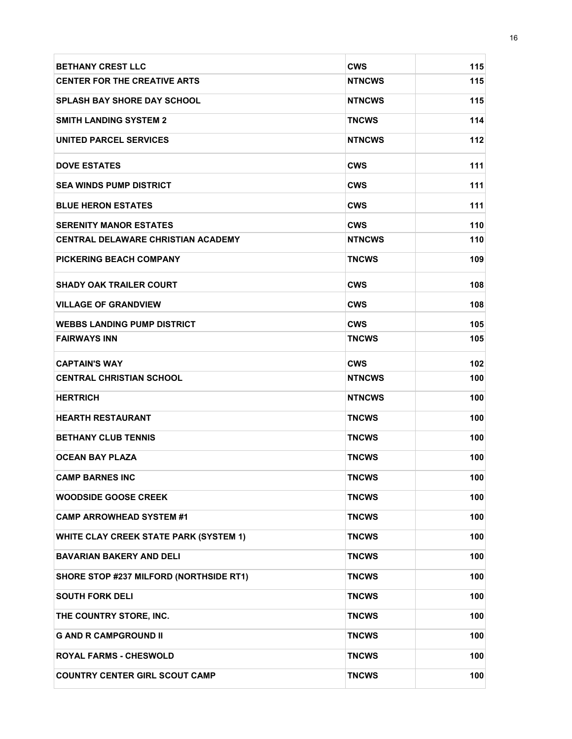| <b>BETHANY CREST LLC</b>                      | <b>CWS</b>    | 115 |
|-----------------------------------------------|---------------|-----|
| <b>CENTER FOR THE CREATIVE ARTS</b>           | <b>NTNCWS</b> | 115 |
| <b>SPLASH BAY SHORE DAY SCHOOL</b>            | <b>NTNCWS</b> | 115 |
| <b>SMITH LANDING SYSTEM 2</b>                 | <b>TNCWS</b>  | 114 |
| UNITED PARCEL SERVICES                        | <b>NTNCWS</b> | 112 |
| <b>DOVE ESTATES</b>                           | <b>CWS</b>    | 111 |
| <b>SEA WINDS PUMP DISTRICT</b>                | CWS           | 111 |
| <b>BLUE HERON ESTATES</b>                     | <b>CWS</b>    | 111 |
| <b>SERENITY MANOR ESTATES</b>                 | <b>CWS</b>    | 110 |
| <b>CENTRAL DELAWARE CHRISTIAN ACADEMY</b>     | <b>NTNCWS</b> | 110 |
| <b>PICKERING BEACH COMPANY</b>                | <b>TNCWS</b>  | 109 |
| <b>SHADY OAK TRAILER COURT</b>                | <b>CWS</b>    | 108 |
| <b>VILLAGE OF GRANDVIEW</b>                   | <b>CWS</b>    | 108 |
| <b>WEBBS LANDING PUMP DISTRICT</b>            | <b>CWS</b>    | 105 |
| <b>FAIRWAYS INN</b>                           | <b>TNCWS</b>  | 105 |
| <b>CAPTAIN'S WAY</b>                          | <b>CWS</b>    | 102 |
| <b>CENTRAL CHRISTIAN SCHOOL</b>               | <b>NTNCWS</b> | 100 |
| <b>HERTRICH</b>                               | <b>NTNCWS</b> | 100 |
| <b>HEARTH RESTAURANT</b>                      | TNCWS         | 100 |
| <b>BETHANY CLUB TENNIS</b>                    | TNCWS         | 100 |
| <b>OCEAN BAY PLAZA</b>                        | TNCWS         | 100 |
| <b>CAMP BARNES INC</b>                        | <b>TNCWS</b>  | 100 |
| <b>WOODSIDE GOOSE CREEK</b>                   | <b>TNCWS</b>  | 100 |
| <b>CAMP ARROWHEAD SYSTEM #1</b>               | <b>TNCWS</b>  | 100 |
| <b>WHITE CLAY CREEK STATE PARK (SYSTEM 1)</b> | <b>TNCWS</b>  | 100 |
| <b>BAVARIAN BAKERY AND DELI</b>               | TNCWS         | 100 |
| SHORE STOP #237 MILFORD (NORTHSIDE RT1)       | <b>TNCWS</b>  | 100 |
| <b>SOUTH FORK DELI</b>                        | TNCWS         | 100 |
| THE COUNTRY STORE, INC.                       | <b>TNCWS</b>  | 100 |
| <b>G AND R CAMPGROUND II</b>                  | TNCWS         | 100 |
| <b>ROYAL FARMS - CHESWOLD</b>                 | <b>TNCWS</b>  | 100 |
| <b>COUNTRY CENTER GIRL SCOUT CAMP</b>         | <b>TNCWS</b>  | 100 |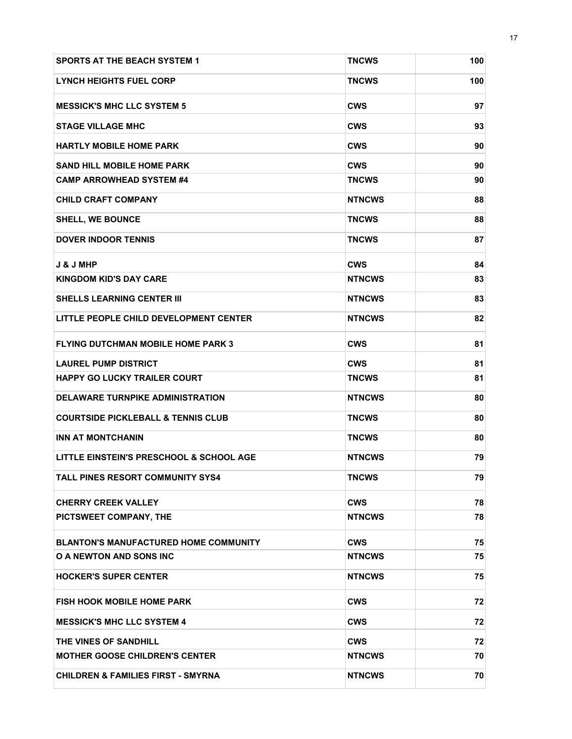| <b>SPORTS AT THE BEACH SYSTEM 1</b>           | <b>TNCWS</b>  | 100 |
|-----------------------------------------------|---------------|-----|
| <b>LYNCH HEIGHTS FUEL CORP</b>                | TNCWS         | 100 |
| <b>MESSICK'S MHC LLC SYSTEM 5</b>             | <b>CWS</b>    | 97  |
| <b>STAGE VILLAGE MHC</b>                      | CWS           | 93  |
| <b>HARTLY MOBILE HOME PARK</b>                | <b>CWS</b>    | 90  |
| <b>SAND HILL MOBILE HOME PARK</b>             | <b>CWS</b>    | 90  |
| <b>CAMP ARROWHEAD SYSTEM #4</b>               | <b>TNCWS</b>  | 90  |
| <b>CHILD CRAFT COMPANY</b>                    | <b>NTNCWS</b> | 88  |
| <b>SHELL, WE BOUNCE</b>                       | TNCWS         | 88  |
| <b>DOVER INDOOR TENNIS</b>                    | TNCWS         | 87  |
| <b>J &amp; J MHP</b>                          | <b>CWS</b>    | 84  |
| <b>KINGDOM KID'S DAY CARE</b>                 | <b>NTNCWS</b> | 83  |
| <b>SHELLS LEARNING CENTER III</b>             | <b>NTNCWS</b> | 83  |
| LITTLE PEOPLE CHILD DEVELOPMENT CENTER        | <b>NTNCWS</b> | 82  |
| <b>FLYING DUTCHMAN MOBILE HOME PARK 3</b>     | <b>CWS</b>    | 81  |
| <b>LAUREL PUMP DISTRICT</b>                   | <b>CWS</b>    | 81  |
| <b>HAPPY GO LUCKY TRAILER COURT</b>           | <b>TNCWS</b>  | 81  |
| <b>DELAWARE TURNPIKE ADMINISTRATION</b>       | <b>NTNCWS</b> | 80  |
| <b>COURTSIDE PICKLEBALL &amp; TENNIS CLUB</b> | TNCWS         | 80  |
| <b>INN AT MONTCHANIN</b>                      | TNCWS         | 80  |
| LITTLE EINSTEIN'S PRESCHOOL & SCHOOL AGE      | <b>NTNCWS</b> | 79  |
| <b>TALL PINES RESORT COMMUNITY SYS4</b>       | <b>TNCWS</b>  | 79  |
| <b>CHERRY CREEK VALLEY</b>                    | <b>CWS</b>    | 78  |
| PICTSWEET COMPANY, THE                        | <b>NTNCWS</b> | 78  |
| <b>BLANTON'S MANUFACTURED HOME COMMUNITY</b>  | <b>CWS</b>    | 75  |
| <b>O A NEWTON AND SONS INC</b>                | <b>NTNCWS</b> | 75  |
| <b>HOCKER'S SUPER CENTER</b>                  | <b>NTNCWS</b> | 75  |
| <b>FISH HOOK MOBILE HOME PARK</b>             | CWS           | 72  |
| <b>MESSICK'S MHC LLC SYSTEM 4</b>             | CWS           | 72  |
| THE VINES OF SANDHILL                         | <b>CWS</b>    | 72  |
| <b>MOTHER GOOSE CHILDREN'S CENTER</b>         | <b>NTNCWS</b> | 70  |
| <b>CHILDREN &amp; FAMILIES FIRST - SMYRNA</b> | <b>NTNCWS</b> | 70  |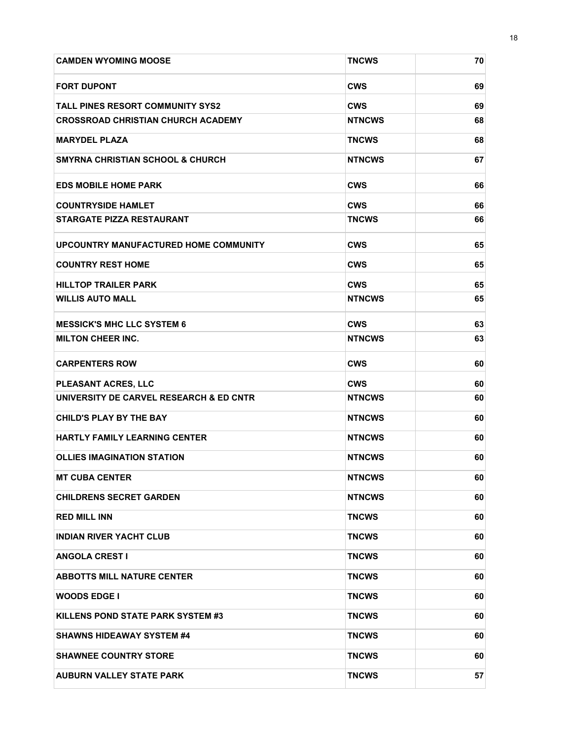| <b>CAMDEN WYOMING MOOSE</b>                 | <b>TNCWS</b>  | 70 |
|---------------------------------------------|---------------|----|
| <b>FORT DUPONT</b>                          | <b>CWS</b>    | 69 |
| <b>TALL PINES RESORT COMMUNITY SYS2</b>     | <b>CWS</b>    | 69 |
| <b>CROSSROAD CHRISTIAN CHURCH ACADEMY</b>   | <b>NTNCWS</b> | 68 |
| <b>MARYDEL PLAZA</b>                        | TNCWS         | 68 |
| <b>SMYRNA CHRISTIAN SCHOOL &amp; CHURCH</b> | <b>NTNCWS</b> | 67 |
| <b>EDS MOBILE HOME PARK</b>                 | <b>CWS</b>    | 66 |
| <b>COUNTRYSIDE HAMLET</b>                   | <b>CWS</b>    | 66 |
| <b>STARGATE PIZZA RESTAURANT</b>            | <b>TNCWS</b>  | 66 |
| UPCOUNTRY MANUFACTURED HOME COMMUNITY       | <b>CWS</b>    | 65 |
| <b>COUNTRY REST HOME</b>                    | <b>CWS</b>    | 65 |
| <b>HILLTOP TRAILER PARK</b>                 | <b>CWS</b>    | 65 |
| <b>WILLIS AUTO MALL</b>                     | <b>NTNCWS</b> | 65 |
| <b>MESSICK'S MHC LLC SYSTEM 6</b>           | <b>CWS</b>    | 63 |
| <b>MILTON CHEER INC.</b>                    | <b>NTNCWS</b> | 63 |
| <b>CARPENTERS ROW</b>                       | <b>CWS</b>    | 60 |
| PLEASANT ACRES, LLC                         | <b>CWS</b>    | 60 |
| UNIVERSITY DE CARVEL RESEARCH & ED CNTR     | <b>NTNCWS</b> | 60 |
| <b>CHILD'S PLAY BY THE BAY</b>              | <b>NTNCWS</b> | 60 |
| <b>HARTLY FAMILY LEARNING CENTER</b>        | <b>NTNCWS</b> | 60 |
| <b>OLLIES IMAGINATION STATION</b>           | <b>NTNCWS</b> | 60 |
| <b>MT CUBA CENTER</b>                       | <b>NTNCWS</b> | 60 |
| <b>CHILDRENS SECRET GARDEN</b>              | <b>NTNCWS</b> | 60 |
| <b>RED MILL INN</b>                         | <b>TNCWS</b>  | 60 |
| <b>INDIAN RIVER YACHT CLUB</b>              | TNCWS         | 60 |
| <b>ANGOLA CREST I</b>                       | TNCWS         | 60 |
| <b>ABBOTTS MILL NATURE CENTER</b>           | <b>TNCWS</b>  | 60 |
| <b>WOODS EDGE I</b>                         | TNCWS         | 60 |
| KILLENS POND STATE PARK SYSTEM #3           | TNCWS         | 60 |
| <b>SHAWNS HIDEAWAY SYSTEM #4</b>            | TNCWS         | 60 |
| <b>SHAWNEE COUNTRY STORE</b>                | TNCWS         | 60 |
| <b>AUBURN VALLEY STATE PARK</b>             | <b>TNCWS</b>  | 57 |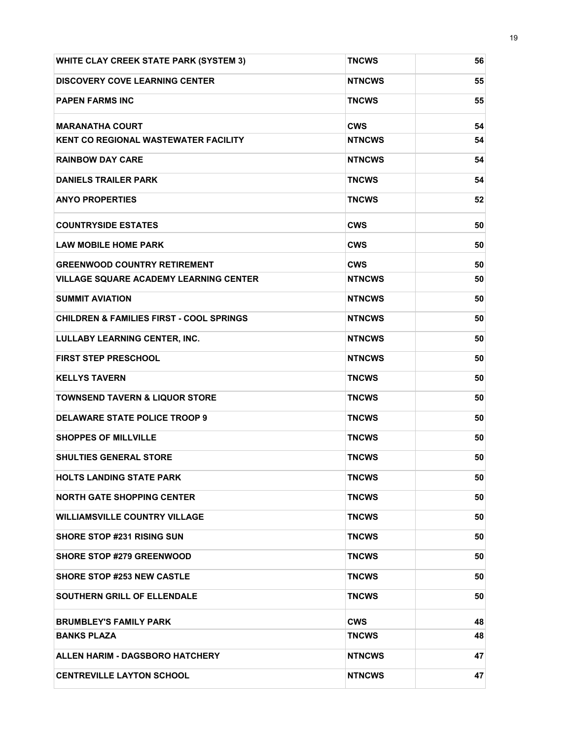| <b>WHITE CLAY CREEK STATE PARK (SYSTEM 3)</b>       | <b>TNCWS</b>  | 56 |
|-----------------------------------------------------|---------------|----|
| <b>DISCOVERY COVE LEARNING CENTER</b>               | <b>NTNCWS</b> | 55 |
| <b>PAPEN FARMS INC</b>                              | <b>TNCWS</b>  | 55 |
| <b>MARANATHA COURT</b>                              | <b>CWS</b>    | 54 |
| <b>KENT CO REGIONAL WASTEWATER FACILITY</b>         | <b>NTNCWS</b> | 54 |
| <b>RAINBOW DAY CARE</b>                             | <b>NTNCWS</b> | 54 |
| <b>DANIELS TRAILER PARK</b>                         | <b>TNCWS</b>  | 54 |
| <b>ANYO PROPERTIES</b>                              | <b>TNCWS</b>  | 52 |
| <b>COUNTRYSIDE ESTATES</b>                          | <b>CWS</b>    | 50 |
| <b>LAW MOBILE HOME PARK</b>                         | <b>CWS</b>    | 50 |
| <b>GREENWOOD COUNTRY RETIREMENT</b>                 | <b>CWS</b>    | 50 |
| <b>VILLAGE SQUARE ACADEMY LEARNING CENTER</b>       | <b>NTNCWS</b> | 50 |
| <b>SUMMIT AVIATION</b>                              | <b>NTNCWS</b> | 50 |
| <b>CHILDREN &amp; FAMILIES FIRST - COOL SPRINGS</b> | <b>NTNCWS</b> | 50 |
| <b>LULLABY LEARNING CENTER, INC.</b>                | <b>NTNCWS</b> | 50 |
| <b>FIRST STEP PRESCHOOL</b>                         | <b>NTNCWS</b> | 50 |
| <b>KELLYS TAVERN</b>                                | <b>TNCWS</b>  | 50 |
| <b>TOWNSEND TAVERN &amp; LIQUOR STORE</b>           | <b>TNCWS</b>  | 50 |
| <b>DELAWARE STATE POLICE TROOP 9</b>                | <b>TNCWS</b>  | 50 |
| <b>SHOPPES OF MILLVILLE</b>                         | <b>TNCWS</b>  | 50 |
| <b>SHULTIES GENERAL STORE</b>                       | <b>TNCWS</b>  | 50 |
| <b>HOLTS LANDING STATE PARK</b>                     | <b>TNCWS</b>  | 50 |
| <b>NORTH GATE SHOPPING CENTER</b>                   | <b>TNCWS</b>  | 50 |
| <b>WILLIAMSVILLE COUNTRY VILLAGE</b>                | <b>TNCWS</b>  | 50 |
| <b>SHORE STOP #231 RISING SUN</b>                   | TNCWS         | 50 |
| <b>SHORE STOP #279 GREENWOOD</b>                    | <b>TNCWS</b>  | 50 |
| <b>SHORE STOP #253 NEW CASTLE</b>                   | <b>TNCWS</b>  | 50 |
| <b>SOUTHERN GRILL OF ELLENDALE</b>                  | <b>TNCWS</b>  | 50 |
| <b>BRUMBLEY'S FAMILY PARK</b>                       | <b>CWS</b>    | 48 |
| <b>BANKS PLAZA</b>                                  | <b>TNCWS</b>  | 48 |
| <b>ALLEN HARIM - DAGSBORO HATCHERY</b>              | <b>NTNCWS</b> | 47 |
| <b>CENTREVILLE LAYTON SCHOOL</b>                    | <b>NTNCWS</b> | 47 |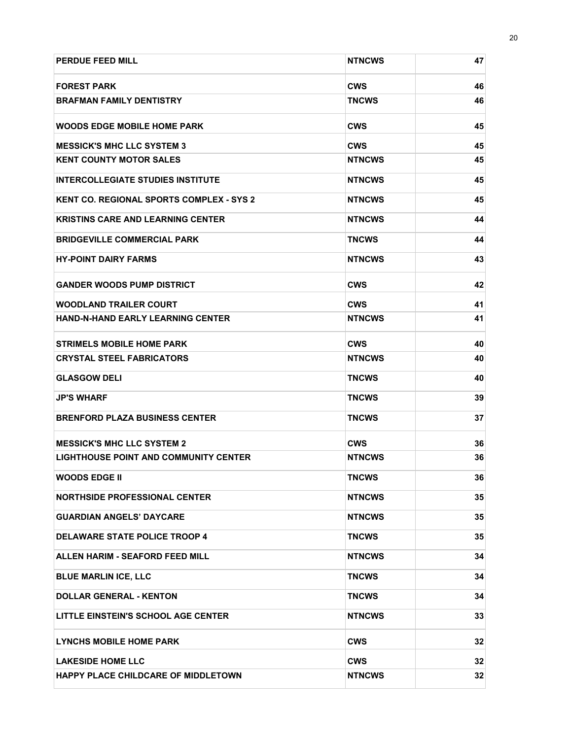| <b>PERDUE FEED MILL</b>                         | <b>NTNCWS</b> | 47 |
|-------------------------------------------------|---------------|----|
| <b>FOREST PARK</b>                              | <b>CWS</b>    | 46 |
| <b>BRAFMAN FAMILY DENTISTRY</b>                 | <b>TNCWS</b>  | 46 |
| <b>WOODS EDGE MOBILE HOME PARK</b>              | <b>CWS</b>    | 45 |
| <b>MESSICK'S MHC LLC SYSTEM 3</b>               | <b>CWS</b>    | 45 |
| <b>KENT COUNTY MOTOR SALES</b>                  | <b>NTNCWS</b> | 45 |
| <b>INTERCOLLEGIATE STUDIES INSTITUTE</b>        | <b>NTNCWS</b> | 45 |
| <b>KENT CO. REGIONAL SPORTS COMPLEX - SYS 2</b> | <b>NTNCWS</b> | 45 |
| <b>KRISTINS CARE AND LEARNING CENTER</b>        | <b>NTNCWS</b> | 44 |
| <b>BRIDGEVILLE COMMERCIAL PARK</b>              | <b>TNCWS</b>  | 44 |
| <b>HY-POINT DAIRY FARMS</b>                     | <b>NTNCWS</b> | 43 |
| <b>GANDER WOODS PUMP DISTRICT</b>               | <b>CWS</b>    | 42 |
| <b>WOODLAND TRAILER COURT</b>                   | <b>CWS</b>    | 41 |
| <b>HAND-N-HAND EARLY LEARNING CENTER</b>        | <b>NTNCWS</b> | 41 |
| <b>STRIMELS MOBILE HOME PARK</b>                | <b>CWS</b>    | 40 |
| <b>CRYSTAL STEEL FABRICATORS</b>                | <b>NTNCWS</b> | 40 |
| <b>GLASGOW DELI</b>                             | <b>TNCWS</b>  | 40 |
| <b>JP'S WHARF</b>                               | <b>TNCWS</b>  | 39 |
| <b>BRENFORD PLAZA BUSINESS CENTER</b>           | <b>TNCWS</b>  | 37 |
| <b>MESSICK'S MHC LLC SYSTEM 2</b>               | <b>CWS</b>    | 36 |
| <b>LIGHTHOUSE POINT AND COMMUNITY CENTER</b>    | <b>NTNCWS</b> | 36 |
| <b>WOODS EDGE II</b>                            | <b>TNCWS</b>  | 36 |
| <b>NORTHSIDE PROFESSIONAL CENTER</b>            | <b>NTNCWS</b> | 35 |
| <b>GUARDIAN ANGELS' DAYCARE</b>                 | <b>NTNCWS</b> | 35 |
| DELAWARE STATE POLICE TROOP 4                   | <b>TNCWS</b>  | 35 |
| <b>ALLEN HARIM - SEAFORD FEED MILL</b>          | <b>NTNCWS</b> | 34 |
| <b>BLUE MARLIN ICE, LLC</b>                     | <b>TNCWS</b>  | 34 |
| <b>DOLLAR GENERAL - KENTON</b>                  | <b>TNCWS</b>  | 34 |
| LITTLE EINSTEIN'S SCHOOL AGE CENTER             | <b>NTNCWS</b> | 33 |
| <b>LYNCHS MOBILE HOME PARK</b>                  | <b>CWS</b>    | 32 |
| <b>LAKESIDE HOME LLC</b>                        | <b>CWS</b>    | 32 |
| <b>HAPPY PLACE CHILDCARE OF MIDDLETOWN</b>      | <b>NTNCWS</b> | 32 |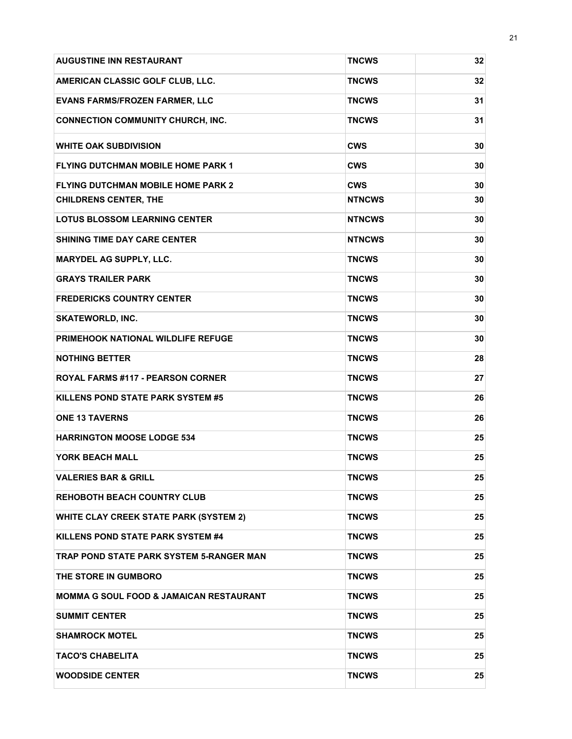| <b>AUGUSTINE INN RESTAURANT</b>               | <b>TNCWS</b>  | 32 |
|-----------------------------------------------|---------------|----|
| AMERICAN CLASSIC GOLF CLUB, LLC.              | <b>TNCWS</b>  | 32 |
| <b>EVANS FARMS/FROZEN FARMER, LLC</b>         | <b>TNCWS</b>  | 31 |
| <b>CONNECTION COMMUNITY CHURCH, INC.</b>      | <b>TNCWS</b>  | 31 |
| <b>WHITE OAK SUBDIVISION</b>                  | <b>CWS</b>    | 30 |
| <b>FLYING DUTCHMAN MOBILE HOME PARK 1</b>     | <b>CWS</b>    | 30 |
| <b>FLYING DUTCHMAN MOBILE HOME PARK 2</b>     | <b>CWS</b>    | 30 |
| <b>CHILDRENS CENTER, THE</b>                  | <b>NTNCWS</b> | 30 |
| <b>LOTUS BLOSSOM LEARNING CENTER</b>          | <b>NTNCWS</b> | 30 |
| <b>SHINING TIME DAY CARE CENTER</b>           | <b>NTNCWS</b> | 30 |
| <b>MARYDEL AG SUPPLY, LLC.</b>                | <b>TNCWS</b>  | 30 |
| <b>GRAYS TRAILER PARK</b>                     | <b>TNCWS</b>  | 30 |
| <b>FREDERICKS COUNTRY CENTER</b>              | <b>TNCWS</b>  | 30 |
| <b>SKATEWORLD, INC.</b>                       | <b>TNCWS</b>  | 30 |
| <b>PRIMEHOOK NATIONAL WILDLIFE REFUGE</b>     | <b>TNCWS</b>  | 30 |
| <b>NOTHING BETTER</b>                         | <b>TNCWS</b>  | 28 |
| <b>ROYAL FARMS #117 - PEARSON CORNER</b>      | <b>TNCWS</b>  | 27 |
| KILLENS POND STATE PARK SYSTEM #5             | <b>TNCWS</b>  | 26 |
| <b>ONE 13 TAVERNS</b>                         | <b>TNCWS</b>  | 26 |
| <b>HARRINGTON MOOSE LODGE 534</b>             | <b>TNCWS</b>  | 25 |
| YORK BEACH MALL                               | <b>TNCWS</b>  | 25 |
| <b>VALERIES BAR &amp; GRILL</b>               | <b>TNCWS</b>  | 25 |
| <b>REHOBOTH BEACH COUNTRY CLUB</b>            | <b>TNCWS</b>  | 25 |
| <b>WHITE CLAY CREEK STATE PARK (SYSTEM 2)</b> | <b>TNCWS</b>  | 25 |
| KILLENS POND STATE PARK SYSTEM #4             | <b>TNCWS</b>  | 25 |
| TRAP POND STATE PARK SYSTEM 5-RANGER MAN      | <b>TNCWS</b>  | 25 |
| THE STORE IN GUMBORO                          | <b>TNCWS</b>  | 25 |
| MOMMA G SOUL FOOD & JAMAICAN RESTAURANT       | <b>TNCWS</b>  | 25 |
| <b>SUMMIT CENTER</b>                          | <b>TNCWS</b>  | 25 |
| <b>SHAMROCK MOTEL</b>                         | <b>TNCWS</b>  | 25 |
| <b>TACO'S CHABELITA</b>                       | <b>TNCWS</b>  | 25 |
| <b>WOODSIDE CENTER</b>                        | <b>TNCWS</b>  | 25 |